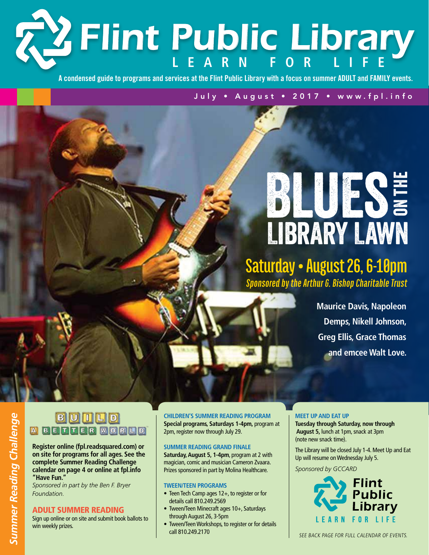# **L e arn f or Li fe** *Flint Public Library*

**A condensed guide to programs and services at the Flint Public Library with a focus on summer ADULT and FAMILY events.**

July • August • 2017 • www.fpl.info

# Library Lawn **BLUESE**

# **Saturday • August 26, 6-10pm** *Sponsored by the Arthur G. Bishop Charitable Trust*

**Maurice Davis, Napoleon Demps, Nikell Johnson, Greg Ellis, Grace Thomas and emcee Walt Love.**

### **BUULD BENNER MORLD**

**Register online (fpl.readsquared.com) or on site for programs for all ages. See the complete Summer Reading Challenge calendar on page 4 or online at fpl.info "Have Fun."** 

*Sponsored in part by the Ben F. Bryer Foundation.*

#### Adult Summer Reading

Sign up online or on site and submit book ballots to win weekly prizes.

**Children's Summer Reading Program Special programs, Saturdays 1-4pm,** program at 2pm, register now through July 29.

#### **Summer Reading Grand Finale**

**Saturday, August 5, 1-4pm**, program at 2 with magician, comic and musician Cameron Zvaara. Prizes sponsored in part by Molina Healthcare.

#### **Tween/Teen Programs**

- Teen Tech Camp ages 12+, to register or for details call 810.249.2569
- Tween/Teen Minecraft ages 10+, Saturdays through August 26, 3-5pm
- Tween/Teen Workshops, to register or for details call 810.249.2170

#### **Meet Up and Eat Up**

**Tuesday through Saturday, now through August 5,** lunch at 1pm, snack at 3pm (note new snack time).

The Library will be closed July 1-4. Meet Up and Eat Up will resume on Wednesday July 5. *Sponsored by GCCARD*

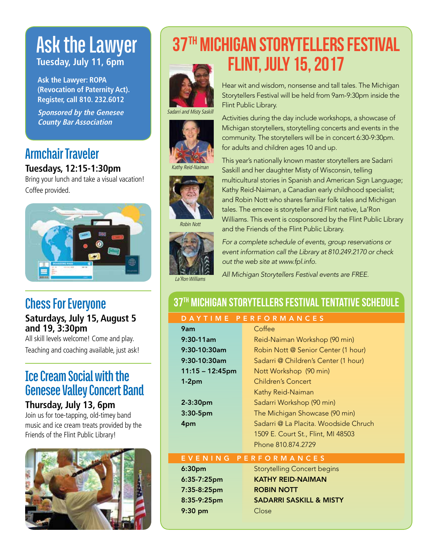# **Ask the Lawyer Tuesday, July 11, 6pm**

**Ask the Lawyer: ROPA (Revocation of Paternity Act). Register, call 810. 232.6012**

**Sponsored by the Genesee County Bar Association**

### **Armchair Traveler Tuesdays, 12:15-1:30pm**

Bring your lunch and take a visual vacation! Coffee provided.



## **Chess For Everyone**

**Saturdays, July 15, August 5 and 19, 3:30pm**

All skill levels welcome! Come and play. Teaching and coaching available, just ask!

### **Ice Cream Social with the Genesee Valley Concert Band**

**Thursday, July 13, 6pm**

Join us for toe-tapping, old-timey band music and ice cream treats provided by the Friends of the Flint Public Library!



# 37TH MICHIGAN STORYTELLERS FESTIVAL Flint, July 15, 2017



Sadarri and Misty Saskill





Robin Nott



Hear wit and wisdom, nonsense and tall tales. The Michigan Storytellers Festival will be held from 9am-9:30pm inside the Flint Public Library.

Activities during the day include workshops, a showcase of Michigan storytellers, storytelling concerts and events in the community. The storytellers will be in concert 6:30-9:30pm. for adults and children ages 10 and up.

This year's nationally known master storytellers are Sadarri Saskill and her daughter Misty of Wisconsin, telling multicultural stories in Spanish and American Sign Language; Kathy Reid-Naiman, a Canadian early childhood specialist; and Robin Nott who shares familiar folk tales and Michigan tales. The emcee is storyteller and Flint native, La'Ron Williams. This event is cosponsored by the Flint Public Library and the Friends of the Flint Public Library.



*For a complete schedule of events, group reservations or event information call the Library at 810.249.2170 or check out the web site at www.fpl.info.* 

*All Michigan Storytellers Festival events are FREE.* 

## 37th Michigan Storytellers Festival Tentative Schedule

#### D A Y T I M E P E R F O R M A N C E S

| 9am             | Coffee                                |
|-----------------|---------------------------------------|
| 9:30-11am       | Reid-Naiman Workshop (90 min)         |
| 9:30-10:30am    | Robin Nott @ Senior Center (1 hour)   |
| 9:30-10:30am    | Sadarri @ Children's Center (1 hour)  |
| 11:15 - 12:45pm | Nott Workshop (90 min)                |
| 1-2pm           | Children's Concert                    |
|                 | Kathy Reid-Naiman                     |
| 2-3:30pm        | Sadarri Workshop (90 min)             |
| 3:30-5pm        | The Michigan Showcase (90 min)        |
| 4pm             | Sadarri @ La Placita. Woodside Chruch |
|                 | 1509 E. Court St., Flint, MI 48503    |
|                 | Phone 810.874.2729                    |
|                 |                                       |

#### Ev ening Per f orman c e s

7:35-8:25pm ROBIN NOTT 9:30 pm Close

**6:30pm** Storytelling Concert begins 6:35-7:25pm KATHY REID-NAIMAN 8:35-9:25pm SADARRI SASKILL & MISTY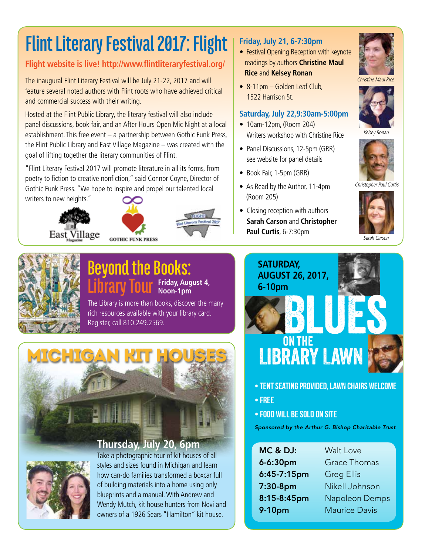# **Flint Literary Festival 2017: Flight**

### **Flight website is live! http://www.flintliteraryfestival.org/**

The inaugural Flint Literary Festival will be July 21-22, 2017 and will feature several noted authors with Flint roots who have achieved critical and commercial success with their writing.

Hosted at the Flint Public Library, the literary festival will also include panel discussions, book fair, and an After Hours Open Mic Night at a local establishment. This free event – a partnership between Gothic Funk Press, the Flint Public Library and East Village Magazine – was created with the goal of lifting together the literary communities of Flint.

"Flint Literary Festival 2017 will promote literature in all its forms, from poetry to fiction to creative nonfiction," said Connor Coyne, Director of Gothic Funk Press. "We hope to inspire and propel our talented local writers to new heights."







#### **Friday, July 21, 6-7:30pm**

- Festival Opening Reception with keynote readings by authors **Christine Maul Rice** and **Kelsey Ronan**
- 8-11pm Golden Leaf Club, 1522 Harrison St.

#### **Saturday, July 22,9:30am-5:00pm**

- 10am-12pm, (Room 204) Writers workshop with Christine Rice
- Panel Discussions, 12-5pm (GRR) see website for panel details
- Book Fair, 1-5pm (GRR)
- As Read by the Author, 11-4pm (Room 205)
- Closing reception with authors **Sarah Carson** and **Christopher Paul Curtis**, 6-7:30pm



Christine Maul Rice



Kelsey Ronan



Christopher Paul Curtis



Sarah Carson



#### **Beyond the Books: Library Tour Friday, August 4, Noon-1pm**

The Library is more than books, discover the many rich resources available with your library card. Register, call 810.249.2569.





Take a photographic tour of kit houses of all styles and sizes found in Michigan and learn how can-do families transformed a boxcar full of building materials into a home using only blueprints and a manual. With Andrew and Wendy Mutch, kit house hunters from Novi and owners of a 1926 Sears "Hamilton" kit house.

# **BLUES Saturday, August 26, 2017, 6-10pm**



- Tent seating provided, lawn chairs welcome
- Free
- Food will be sold on site

*Sponsored by the Arthur G. Bishop Charitable Trust*

| <b>MC &amp; DJ:</b> |
|---------------------|
| 6-6:30pm            |
| $6:45-7:15$ pm      |
| 7:30-8pm            |
| 8:15-8:45pm         |
| 9-10pm              |

Walt Love Grace Thomas Greg Ellis Nikell Johnson Napoleon Demps Maurice Davis